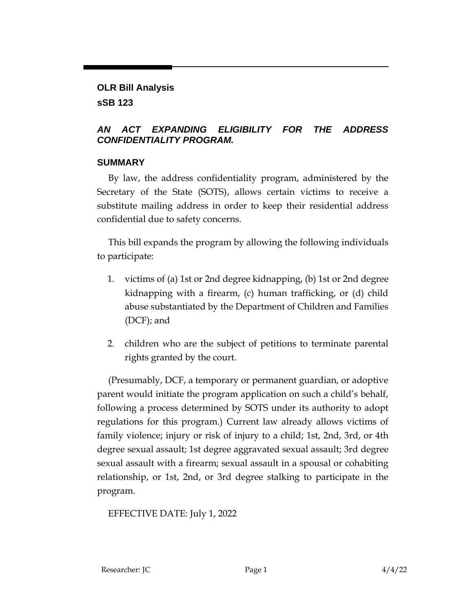#### **OLR Bill Analysis**

**sSB 123**

## *AN ACT EXPANDING ELIGIBILITY FOR THE ADDRESS CONFIDENTIALITY PROGRAM.*

### **SUMMARY**

By law, the address confidentiality program, administered by the Secretary of the State (SOTS), allows certain victims to receive a substitute mailing address in order to keep their residential address confidential due to safety concerns.

This bill expands the program by allowing the following individuals to participate:

- 1. victims of (a) 1st or 2nd degree kidnapping, (b) 1st or 2nd degree kidnapping with a firearm, (c) human trafficking, or (d) child abuse substantiated by the Department of Children and Families (DCF); and
- 2. children who are the subject of petitions to terminate parental rights granted by the court.

(Presumably, DCF, a temporary or permanent guardian, or adoptive parent would initiate the program application on such a child's behalf, following a process determined by SOTS under its authority to adopt regulations for this program.) Current law already allows victims of family violence; injury or risk of injury to a child; 1st, 2nd, 3rd, or 4th degree sexual assault; 1st degree aggravated sexual assault; 3rd degree sexual assault with a firearm; sexual assault in a spousal or cohabiting relationship, or 1st, 2nd, or 3rd degree stalking to participate in the program.

EFFECTIVE DATE: July 1, 2022